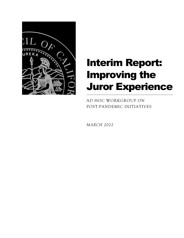

# Interim Report: Improving the Juror Experience

AD HOC WORKGROUP ON POST-PANDEMIC INITIATIVES

*MARCH 2022*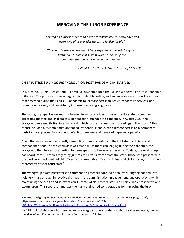# **IMPROVING THE JUROR EXPERIENCE**

*"Serving on a jury is more than a civic responsibility. It is how each and every one of us provides access to justice for all."*

*"The courthouse is where our citizens experience the judicial system firsthand. Our judicial system works because of the commitment and service by our community."*

*– Chief Justice Tani G. Cantil-Sakauye, 2014–15*

#### **CHIEF JUSTICE'S AD HOC WORKGROUP ON POST-PANDEMIC INITIATIVES**

In March 2021, Chief Justice Tani G. Cantil-Sakauye appointed the Ad Hoc Workgroup on Post-Pandemic Initiatives. The purpose of the workgroup is to identify, refine, and enhance successful court practices that emerged during the COVID-19 pandemic to increase access to justice, modernize services, and promote uniformity and consistency in these practices going forward.

The workgroup spent many months hearing from stakeholders from across the state on creative strategies adopted and challenges experienced throughout the pandemic. In August 2021, the workgroup released its first interim report, which focused on remote proceedings in the courts.<sup>[1](#page-1-0)</sup> This report included a recommendation that courts continue and expand remote access on a permanent basis for most proceedings and not default to pre-pandemic levels of in-person operations.

Given the importance of efficiently assembling juries in courts, and the light shed on this crucial component of our justice system as it was made much more challenging during the pandemic, the workgroup then turned its attention to items specific to the juror experience. To date, the workgroup has heard from 10 entities regarding jury-related efforts from across the state. Those who presented to the workgroup included judicial officers, court executive officers, criminal and civil attorneys, and union representatives for court staff. [2](#page-1-1)

The workgroup asked presenters to comment on practices adopted by courts during the pandemic to hold jury trials through innovative changes in jury administration, management, and operations, while maintaining the health and safety of court users, judicial officers, staff, and particularly prospective and sworn jurors. This report summarizes the many and varied considerations for improving the juror

<span id="page-1-0"></span><sup>1</sup> Ad Hoc Workgroup on Post-Pandemic Initiatives, *Interim Report: Remote Access to Courts* (Aug. 2021), [https://newsroom.courts.ca.gov/sites/default/files/newsroom/2021-](https://newsroom.courts.ca.gov/sites/default/files/newsroom/2021-08/P3%20Workgroup%20Remote%20Access%20Interim%20Report%2008162021.pdf) [08/P3%20Workgroup%20Remote%20Access%20Interim%20Report%2008162021.pdf](https://newsroom.courts.ca.gov/sites/default/files/newsroom/2021-08/P3%20Workgroup%20Remote%20Access%20Interim%20Report%2008162021.pdf)

<span id="page-1-1"></span> $2$  A full list of stakeholders who presented to the workgroup, as well as the organizations they represent, can be found in *Interim Report: Remote Access to Courts* at pages 11–14.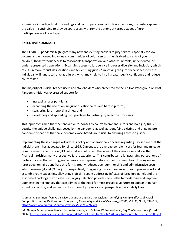experience in both judicial proceedings and court operations. With few exceptions, presenters spoke of the value in continuing to provide court users with remote options at various stages of juror participation in all case types.

#### **EXECUTIVE SUMMARY**

The COVID-19 pandemic highlights many new and existing barriers to jury service, especially for lowincome and unhoused individuals, communities of color, seniors, the disabled, parents of young children, those without access to reasonable transportation, and other vulnerable, underserved, or underrepresented populations. Expanding access to jury service increases diversity and inclusion, which results in more robust deliberations and fewer hung juries.<sup>[3](#page-2-0)</sup> Improving the juror experience increases individual willingness to serve as a juror, which may help to instill greater public confidence and reduce court costs. [4](#page-2-1)

The majority of judicial branch users and stakeholders who presented to the Ad Hoc Workgroup on Post-Pandemic Initiatives expressed support for

- increasing juror per diems;
- expanding the use of online juror questionnaires and hardship forms;
- staggering juror reporting times; and
- developing and spreading best practices for virtual jury selection processes.

This input confirmed that the innovative responses by courts to empanel jurors and hold jury trials despite the unique challenges posed by the pandemic, as well as identifying existing and ongoing prepandemic disparities that have become exacerbated, are crucial to ensuring access to justice.

Implementing these changes will address policy and operational concerns regarding jury service that the judicial branch has advocated for since 1995. Currently, the average per diem cost for fees and mileage reimbursements per juror is \$13, which does not reflect the value of their service or address the financial hardships many prospective jurors experience. This contributes to longstanding perceptions of parties to cases that existing jury venires are unrepresentative of their communities. Utilizing online juror questionnaires and hardship forms greatly reduces over-summonsing and administrative costs, which average \$4 and \$9 per juror, respectively. Staggering juror appearance times improves court and assembly room capacities, alleviating staff time spent addressing influxes of large jury panels and the associated backlogs they create. Virtual jury selection provides new paths to modernize and improve upon existing technology that can eliminate the need for most prospective jurors to appear in person, expedite voir dire, and lessen the disruption of jury service on prospective jurors' daily lives.

<span id="page-2-0"></span><sup>&</sup>lt;sup>3</sup> Samuel R. Sommers, "On Racial Diversity and Group Decision Making: Identifying Multiple Effects of Racial Composition on Jury Deliberations," *Journal of Personality and Social Psychology* (2006) Vol. 90, No. 4, 597–612, [https://www.apa.org/pubs/journals/releases/psp-904597.pdf.](https://www.apa.org/pubs/journals/releases/psp-904597.pdf)

<span id="page-2-1"></span><sup>4</sup> G. Thomas Munsterman, Paula L. Hannaford-Agor, and G. Marc Whitehead, eds., *Jury Trial Innovations* (2d ed. 2006), [https://www.ncsc-jurystudies.org/\\_\\_data/assets/pdf\\_file/0021/7644/jury-trial-innovations-2d-ed-2006.pdf.](https://www.ncsc-jurystudies.org/__data/assets/pdf_file/0021/7644/jury-trial-innovations-2d-ed-2006.pdf)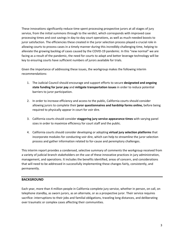These innovations significantly reduce time spent processing prospective jurors at all stages of jury service, from the initial summons through to the verdict, which corresponds with improved case processing times and cost savings in day-to-day court operations, as well as much-needed boosts to juror satisfaction. The efficiencies these created in the juror selection process played a crucial role in allowing courts to process cases in a timely manner during this incredibly challenging time, helping to alleviate the growing backlog of cases caused by the COVID-19 pandemic. In this "new normal" we are facing as a result of the pandemic, the need for courts to adapt and better leverage technology will be key to ensuring courts have sufficient numbers of jurors available for trials.

Given the importance of addressing these issues, the workgroup makes the following interim recommendations:

- 1. The Judicial Council should encourage and support efforts to secure **designated and ongoing state funding for juror pay** and **mitigate transportation issues** in order to reduce potential barriers to juror participation.
- 2. In order to increase efficiency and access to the public, California courts should consider allowing jurors to complete their **juror questionnaires and hardship forms online,** before being required to physically appear in court for voir dire.
- 3. California courts should consider **staggering jury service appearance times** with varying panel sizes in order to maximize efficiency for court staff and the public.
- 4. California courts should consider developing or adopting **virtual jury selection platforms** that incorporate modules for conducting voir dire, which can help to streamline the juror selection process and gather information related to for-cause and peremptory challenges.

This interim report provides a condensed, selective summary of comments the workgroup received from a variety of judicial branch stakeholders on the use of these innovative practices in jury administration, management, and operations. It includes the benefits identified, areas of concern, and considerations that will need to be addressed in successfully implementing these changes fairly, consistently, and permanently.

# **BACKGROUND**

Each year, more than 4 million people in California complete jury service, whether in person, on call, on telephone standby, as sworn jurors, as an alternate, or as a prospective juror. Their service requires sacrifice: interruptions to their jobs and familial obligations, traveling long distances, and deliberating over traumatic or complex cases affecting their communities.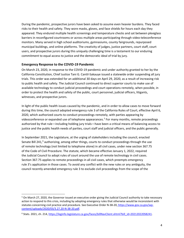During the pandemic, prospective jurors have been asked to assume even heavier burdens. They faced risks to their health and safety. They wore masks, gloves, and face shields for hours each day they appeared. They endured multiple health screenings and temperature checks and sat between plexiglass barriers in reconfigured courtrooms or across multiple areas participating through video-teleconference monitors. Many served in high school auditoriums, gymnasiums, county fairgrounds, repurposed municipal buildings, and online platforms. The creativity of judges, justice partners, court staff, court users, and prospective jurors during this uniquely challenging time is a testament to our enduring commitment to equal access to justice and the democratic ideal of trial by jury.

#### **Emergency Response to the COVID-19 Pandemic**

On March 23, 2020, in response to the COVID-19 pandemic and under authority granted to her by the California Constitution, Chief Justice Tani G. Cantil-Sakauye issued a statewide order suspending all jury trials. This order was extended for an additional 30 days on April 29, 2020, as a result of increasing risk to public health and safety. The Judicial Council continued to direct superior courts to make use of available technology to conduct judicial proceedings and court operations remotely, when possible, in order to protect the health and safety of the public, court personnel, judicial officers, litigants, witnesses, and prospective jurors.

In light of the public health issues caused by the pandemic, and in order to allow cases to move forward during this time, the council adopted emergency rule 3 of the California Rules of Court, effective April 6, 2020, which authorized courts to conduct proceedings remotely, with parties appearing by videoconference or expanded use of telephone appearances.<sup>[5](#page-4-0)</sup> For many months, remote proceedings authorized by that rule—including holding jury trials—have been a critical means of balancing access to justice and the public health needs of parties, court staff and judicial officers, and the public generally.

In September 2021, the Legislature, at the urging of stakeholders including the council, enacted Senate Bill 241,<sup>[6](#page-4-1)</sup> authorizing, among other things, courts to conduct proceedings through the use of remote technology (not limited to telephone alone) in all civil cases, under new section 367.75 of the Code of Civil Procedure. The statute, which became effective January 1, 2022, required the Judicial Council to adopt rules of court around the use of remote technology in civil cases. Section 367.75 applies to remote proceedings in all civil cases, which preempts emergency rule 3's application in those cases. To avoid any conflict with the new rules or any ambiguity, the council recently amended emergency rule 3 to exclude civil proceedings from the scope of the

<span id="page-4-0"></span><sup>&</sup>lt;sup>5</sup> On March 27, 2020, the Governor issued an executive order giving the Judicial Council authority to take necessary action to respond to this crisis, including by adopting emergency rules that otherwise would be inconsistent with statutes concerning civil practice and procedure. See Executive Order N-38-20, https://www.gov.ca.gov/wpcontent/uploads/2020/03/3.27.20-N-38-20.pdf.

<span id="page-4-1"></span><sup>6</sup> Stats. 2021, ch. 214[, https://leginfo.legislature.ca.gov/faces/billNavClient.xhtml?bill\\_id=202120220SB241.](https://leginfo.legislature.ca.gov/faces/billNavClient.xhtml?bill_id=202120220SB241)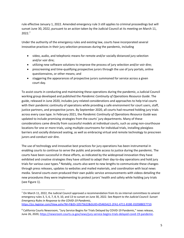rule effective January 1, 2022. Amended emergency rule 3 still applies to criminal proceedings but will sunset June 30, 2022, pursuant to an action taken by the Judicial Council at its meeting on March 11, 2022. [7](#page-5-0)

Under the authority of the emergency rules and existing law, courts have incorporated several innovative practices in their jury selection processes during the pandemic, including

- video, audio, and telephonic means for remote and/or socially distanced jury selection and/or voir dire;
- utilizing new software solutions to improve the process of jury selection and/or voir dire;
- prescreening and time-qualifying prospective jurors through the use of jury portals, online questionnaires, or other means; and
- staggering the appearances of prospective jurors summoned for service across a given court day.

To assist courts in conducting and maintaining these operations during the pandemic, a Judicial Council working group developed and published the *Pandemic Continuity of Operations Resource Guide*. The guide, released in June 2020, includes jury-related considerations and approaches to help trial courts with their pandemic continuity of operations while providing a safe environment for court users, staff, justice partners, and prospective jurors. By September 2020, all courts had resumed holding jury trials across every case type. In February 2021, the *Pandemic Continuity of Operations Resource Guide* was updated to include promising strategies from the courts' jury departments. Many of these considerations came directly from successful models at individual courts, such as using non-courthouse locations for one or more trials, using multiple courtrooms for individual trials, installing plexiglass barriers and socially distanced seating, as well as embracing virtual and remote technology to prescreen jurors and conduct voir dire.

The use of technology and innovative best practices for jury operations has been instrumental in enabling courts to continue to serve the public and provide access to justice during the pandemic. The courts have been successful in these efforts, as indicated by the widespread innovation they have exhibited and creative strategies they have utilized to adapt their day-to-day operations and hold jury trials for various case types.<sup>[8](#page-5-1)</sup> Notably, courts also went to new lengths to communicate these changes through press releases, updates to websites and mailed materials, and coordination with local news media. Several courts even produced their own public service announcements with videos detailing the new procedures they were implementing to protect jurors' health and safety while holding jury trials (see Figure 1).

<span id="page-5-0"></span><sup>&</sup>lt;sup>7</sup> On March 11, 2022, the Judicial Council approved a recommendation from its six internal committees to amend emergency rules 3, 5, 6, 7, 8, 9, 10, and 13 to sunset on June 30, 2022. See *Report to the Judicial Council: Sunset Emergency Rules in Response to the COVID-19 Pandemic*, [https://jcc.legistar.com/View.ashx?M=F&ID=10575622&GUID=05465A22-2FA1-4711-81BE-01058BEE7710.](https://jcc.legistar.com/View.ashx?M=F&ID=10575622&GUID=05465A22-2FA1-4711-81BE-01058BEE7710)

<span id="page-5-1"></span><sup>8</sup> California Courts Newsroom, "Jury Service Begins for Trials Delayed by COVID-19 Pandemic," news release, June 26, 2020, [https://newsroom.courts.ca.gov/news/jury-service-begins-trials-delayed-covid-19-pandemic.](https://newsroom.courts.ca.gov/news/jury-service-begins-trials-delayed-covid-19-pandemic)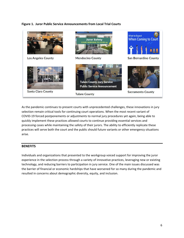# **Figure 1. Juror Public Service Announcements from Local Trial Courts**



As the pandemic continues to present courts with unprecedented challenges, these innovations in jury selection remain critical tools for continuing court operations. When the most recent variant of COVID-19 forced postponements or adjustments to normal jury procedures yet again, being able to quickly implement these practices allowed courts to continue providing essential services and processing cases while maintaining the safety of their jurors. The ability to efficiently replicate these practices will serve both the court and the public should future variants or other emergency situations arise.

#### **BENEFITS**

Individuals and organizations that presented to the workgroup voiced support for improving the juror experience in the selection process through a variety of innovative practices, leveraging new or existing technology, and reducing barriers to participation in jury service. One of the main issues discussed was the barrier of financial or economic hardships that have worsened for so many during the pandemic and resulted in concerns about demographic diversity, equity, and inclusion.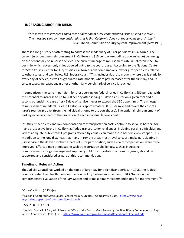#### **I. INCREASING JUROR PER DIEMS**

*"[A]n increase in juror fees and a reconsideration of juror compensation issues is long overdue. … The message sent by these outdated rates is that California does not really value jurors' time."* – Blue Ribbon Commission on Jury System Improvement (May 1996)

There is a long history of attempting to address the inadequacy of juror per diems in California. The current juror per diem reimbursement in California is \$15 per day (excluding travel mileage) beginning on the second day of in-person service. The current mileage reimbursement rate in California is \$0.34 per mile, which covers only miles traveled *going to* the courthouse. [9](#page-7-0) According to the National Center for State Courts' Center for Jury Studies, California ranks comparatively low for juror per diems relative to other states, and well below U.S. federal court.<sup>[10](#page-7-1)</sup> This includes flat-rate models, where pay is static for every day of service, as well as graduated-rate models, where pay increases after the first day and, in certain cases, increases again after another daily benchmark of service is reached.

In comparison, the current per diem for those serving on federal juries in California is \$50 per day, with the potential to increase to up to \$60 per day after serving 10 days as a juror on a given trial and a second potential increase after 45 days of service (never to exceed the \$60 upper limit). The mileage reimbursement in federal juries in California is approximately \$0.58 per mile and covers the cost of a juror's roundtrip travel (from the individual's home to the courthouse). The optional reimbursement of parking expenses is left to the discretion of each individual federal court.<sup>[11](#page-7-2)</sup>

Insufficient per diems and low compensation for transportation costs continue to serve as barriers for many prospective jurors in California. Added transportation challenges, including parking difficulties and lack of adequate public transit programs offered by courts, can make these barriers even steeper. This, in addition to the long distances that many in remote areas must travel to court, make participating in jury service difficult even if other aspects of juror participation, such as daily compensation, were to be improved. Efforts aimed at mitigating such transportation challenges, such as increasing reimbursements for gas mileage and improving public transportation options for jurors, should be supported and considered as part of this recommendation.

# **Timeline of Relevant Action**

The Judicial Council has worked on the topic of juror pay for a significant period. In 1995, the Judicial Council created the Blue Ribbon Commission on Jury System Improvement (BRC) "to conduct a comprehensive evaluation of the jury system and to make timely recommendations for improvement."<sup>[12](#page-7-3)</sup>

<span id="page-7-0"></span> $9$  Code Civ. Proc., § 215(a)-(c).

<span id="page-7-1"></span><sup>&</sup>lt;sup>10</sup> National Center for State Courts, Center for Jury Studies, "Comparative Data," [https://www.ncsc](https://www.ncsc-jurystudies.org/state-of-the-states/jury-data-viz)[jurystudies.org/state-of-the-states/jury-data-viz.](https://www.ncsc-jurystudies.org/state-of-the-states/jury-data-viz)

<span id="page-7-2"></span><sup>11</sup> See 28 U.S.C. § 1871.

<span id="page-7-3"></span><sup>12</sup> Judicial Council of Cal./Administrative Office of the Courts, *Final Report of the Blue Ribbon Commission on Jury System Improvement* (1996), p. 1, [https://www.courts.ca.gov/documents/BlueRibbonFullReport.pdf.](https://www.courts.ca.gov/documents/BlueRibbonFullReport.pdf)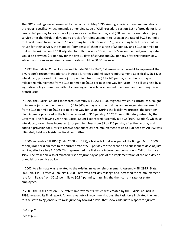The BRC's findings were presented to the council in May 1996. Among a variety of recommendations, the report specifically recommended amending Code of Civil Procedure section 215 to "provide for juror fees of \$40 per day for each day of jury service after the first day and \$50 per day for each day of jury service after the thirtieth day, and to provide for reimbursement to jurors at the rate of \$0.28 per mile for travel to and from the court."[13](#page-8-0) According to the BRC's report, "[i]t is insulting to tell jurors that, in return for their service, the State will 'compensate' them at a rate of \$5 per day and \$0.15 per mile to (but not from) the court."<sup>[14](#page-8-1)</sup> If adjusted for inflation since 1996, the BRC's recommended juror pay rate would be between \$71 per day for the first 30 days of service and \$89 per day after the thirtieth day, while the juror mileage reimbursement rate would be \$0.50 per mile.

In 1997, the Judicial Council sponsored Senate Bill 14 (1997, Calderon), which sought to implement the BRC report's recommendations to increase juror fees and mileage reimbursement. Specifically, SB 14, as introduced, proposed to increase juror per diem fees from \$5 to \$40 per day after the first day and mileage reimbursement from \$0.15 per mile to \$0.28 per mile one-way for jurors. The bill was held by a legislative policy committee without a hearing and was later amended to address another non-judicial branch issue.

In 1998, the Judicial Council sponsored Assembly Bill 2551 (1998, Migden), which, as introduced, sought to increase juror per diem fees from \$5 to \$40 per day after the first day and mileage reimbursement from \$0.15 per mile to \$0.28 per mile one-way for jurors. During the legislative process, the juror per diem increase proposed in the bill was reduced to \$10 per day. AB 2551 was ultimately vetoed by the Governor. The following year, the Judicial Council sponsored Assembly Bill 592 (1999, Migden), which, as introduced, would have increased juror per diem fees from \$5 to \$15 per day after the first day and added a provision for jurors to receive dependent-care reimbursement of up to \$50 per day. AB 592 was ultimately held in a legislative fiscal committee.

In 2000, Assembly Bill 2866 (Stats. 2000, ch. 127), a trailer bill that was part of the Budget Act of 2000, raised juror per diem fees to the current rate of \$15 per day for the second and subsequent days of jury service, effective July 1, 2000. This represented the first raise in juror compensation in California since 1957. The trailer bill also eliminated first-day juror pay as part of the implementation of the one-day or one-trial jury service policy.

In 2002, to eliminate waste related to the existing mileage reimbursement, Assembly Bill 2925 (Stats. 2002, ch. 144.), effective January 1, 2003, removed first-day mileage and increased the reimbursement rate for mileage from \$0.15 per mile to \$0.34 per mile, matching the then-current rate for state employees.

In 2003, the Task Force on Jury System Improvements, which was created by the Judicial Council in 1998, released its final report. Among a variety of recommendations, the task force indicated the need for the state to "[c]ontinue to raise juror pay toward a level that shows adequate respect for jurors'

<span id="page-8-0"></span><sup>13</sup> *Id.* at p. 7.

<span id="page-8-1"></span><sup>14</sup> *Id.* at p. 42.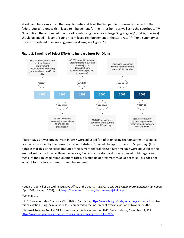efforts and time away from their regular duties (at least the \$40 per diem currently in effect in the federal courts), along with mileage reimbursement for their trips home as well as to the courthouse."[15](#page-9-0) "In addition, the antiquated practice of reimbursing jurors for mileage 'in going only' (that is, one way) should be ended in favor of round-trip mileage reimbursement at the state rate."[16](#page-9-1) (For a summary of the actions related to increasing juror per diems, see Figure 2.)





If juror pay as it was originally set in 1957 were adjusted for inflation using the Consumer Price Index calculator provided by the Bureau of Labor Statistics,<sup>[17](#page-9-2)</sup> it would be approximately \$50 per day. (It is notable that this is the exact amount of the current federal rate.) If juror mileage were adjusted to the amount set by the Internal Revenue Service, $18$  which is the standard by which most public agencies measure their mileage reimbursement rates, it would be approximately \$0.58 per mile. This does not account for the lack of roundtrip reimbursement.

<span id="page-9-0"></span><sup>15</sup> Judicial Council of Cal./Administrative Office of the Courts, *Task Force on Jury System Improvements: Final Report* (Apr. 2003, rev. Apr. 2004), p. 4[, https://www.courts.ca.gov/documents/tfjsi\\_final.pdf.](https://www.courts.ca.gov/documents/tfjsi_final.pdf)

<span id="page-9-1"></span><sup>16</sup> *Id.* at p. 38.

<span id="page-9-2"></span><sup>&</sup>lt;sup>17</sup> U.S. Bureau of Labor Statistics, CPI Inflation Calculator, [https://www.bls.gov/data/inflation\\_calculator.htm.](https://www.bls.gov/data/inflation_calculator.htm) See this calculation using \$5 in January 1957 compared to the most recent available period of November 2021.

<span id="page-9-3"></span><sup>&</sup>lt;sup>18</sup> Internal Revenue Service, "IRS issues standard mileage rates for 2022," news release, December 17, 2021, [https://www.irs.gov/newsroom/irs-issues-standard-mileage-rates-for-2022.](https://www.irs.gov/newsroom/irs-issues-standard-mileage-rates-for-2022)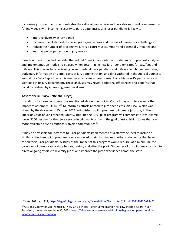Increasing juror per diems demonstrates the value of jury service and provides sufficient compensation for individuals with income insecurity to participate. Increasing juror per diems is likely to

- improve diversity in jury panels;
- minimize the likelihood of challenges to jury venires and the use of peremptory challenges;
- reduce the number of prospective jurors a court must summon and potentially impanel; and
- improve public perception of jury service.

Based on these projected benefits, the Judicial Council may wish to consider and compile cost analyses and implementation models to be used when determining new juror per diem rates for pay/fees and mileage. This may include reviewing current federal juror per diem and mileage reimbursement rates, budgetary information on actual costs of jury administration, and data gathered in the Judicial Council's annual Jury Data Report, which is used as an efficiency measurement of a trial court's performance and workload in its jury department. These analyses may reveal additional efficiencies and benefits that could be realized by increasing juror per diems.

# **Assembly Bill 1452 ("Be the Jury")**

In addition to those considerations mentioned above, the Judicial Council may wish to evaluate the impact of Assembly Bill 1452<sup>[19](#page-10-0)</sup> to inform its efforts related to juror per diems. AB 1452, which was signed by the Governor in October 2021, established a pilot program to increase juror pay in the Superior Court of San Francisco County. This "Be the Jury" pilot program will compensate low-income jurors \$100 per day for their jury service in criminal trials, with the goal of establishing juries that are more reflective of San Francisco's diverse communities. [20](#page-10-1)

It may be advisable for increases to juror per diems implemented at a statewide level to include a similarly structured pilot program or one modeled on similar studies in other state courts that have raised their juror per diems. A study of the impact of this program would require, at a minimum, the collection of demographic data before, during, and after the pilot. Outcomes of this pilot may be used to direct ongoing efforts to diversify juries and improve the juror experience across the state.

<span id="page-10-0"></span><sup>&</sup>lt;sup>19</sup> Stats. 2021, ch. 717, [https://leginfo.legislature.ca.gov/faces/billNavClient.xhtml?bill\\_id=202120220AB1452.](https://leginfo.legislature.ca.gov/faces/billNavClient.xhtml?bill_id=202120220AB1452)

<span id="page-10-1"></span><sup>&</sup>lt;sup>20</sup> City and County of San Francisco, "New CA Bill Pilots Higher Compensation for Low-Income Jurors in San Francisco," news release, June 30, 2021, [https://sftreasurer.org/new-ca-bill-pilots-higher-compensation-low](https://sftreasurer.org/new-ca-bill-pilots-higher-compensation-low-income-jurors-san-francisco)[income-jurors-san-francisco.](https://sftreasurer.org/new-ca-bill-pilots-higher-compensation-low-income-jurors-san-francisco)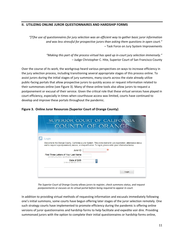# **II. UTILIZING ONLINE JUROR QUESTIONNAIRES AND HARDSHIP FORMS**

*"[T]he use of questionnaires for jury selection was an efficient way to gather basic juror information and was less stressful for prospective jurors than asking them questions in open court."* – Task Force on Jury System Improvements

> *"Making this part of the process virtual has sped up in-court jury selection immensely."* – Judge Christopher C. Hite, Superior Court of San Francisco County

Over the course of its work, the workgroup heard various perspectives on ways to increase efficiency in the jury selection process, including transitioning several appropriate stages of this process online. To assist jurors during the initial stages of jury summons, many courts across the state already utilize public-facing portals that allow prospective jurors to quickly access or request information related to their summonses online (see Figure 3). Many of these online tools also allow jurors to request a postponement or excusal of their service. Given the critical role that these virtual services have played in court efficiency, especially in times when courthouse access was limited, courts have continued to develop and improve these portals throughout the pandemic.





*The Superior Court of Orange County allows jurors to register, check summons status, and request postponements or excuses on its virtual portal before being required to appear in court.*

In addition to providing virtual methods of requesting information and excusals immediately following one's initial summons, some courts have begun offering later stages of the juror selection remotely. One such strategy courts have implemented to promote efficiency during the pandemic is offering online versions of juror questionnaires and hardship forms to help facilitate and expedite voir dire. Providing summonsed jurors with the option to complete their initial questionnaires or hardship forms online,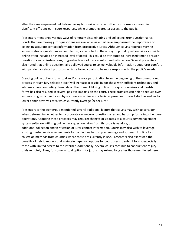after they are empaneled but before having to physically come to the courthouse, can result in significant efficiencies in court resources, while promoting greater access to the public.

Presenters mentioned various ways of remotely disseminating and collecting juror questionnaires. Courts that are making juror questionnaires available via email have emphasized the importance of collecting accurate contact information from prospective jurors. Although courts reported varying success rates of questionnaire completion, some noted to the workgroup that questionnaires submitted online often included an increased level of detail. This could be attributed to increased time to answer questions, clearer instructions, or greater levels of juror comfort and satisfaction. Several presenters also noted that online questionnaires allowed courts to collect valuable information about juror comfort with pandemic-related protocols, which allowed courts to be more responsive to the public's needs.

Creating online options for virtual and/or remote participation from the beginning of the summonsing process through jury selection itself will increase accessibility for those with sufficient technology and who may have competing demands on their time. Utilizing online juror questionnaires and hardship forms has also resulted in several positive impacts on the court. These practices can help to reduce oversummonsing, which reduces physical over-crowding and alleviates pressure on court staff, as well as to lower administrative costs, which currently average \$9 per juror.

Presenters to the workgroup mentioned several additional factors that courts may wish to consider when determining whether to incorporate online juror questionnaires and hardship forms into their jury operations. Adopting these practices may require: changes or updates to a court's jury management system software; utilizing online juror questionnaires from third-party vendors; or additional collection and verification of juror contact information. Courts may also wish to leverage existing master services agreements for conducting hardship screenings and successful online form collection methods from counties where these are currently in use. Presenters also expressed the benefits of hybrid models that maintain in-person options for court users to submit forms, especially those with limited access to the internet. Additionally, several courts continue to conduct entire jury trials remotely. Thus, for some, virtual options for jurors may extend long after those mentioned here.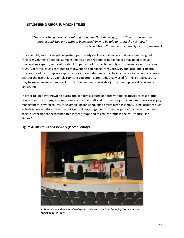#### **III. STAGGERING JUROR SUMMONS TIMES**

*"There is nothing more demoralizing for a juror than showing up at 8:30 a.m. and waiting around until 3:00 p.m. without being used, only to be told to return the next day."* – Blue Ribbon Commission on Jury System Improvement

Jury assembly rooms can get congested, particularly in older courthouses that were not designed for larger volumes of people. Some estimates show that indoor public spaces may need to have their seating capacity reduced to about 20 percent of normal to comply with current social distancing rules. (California courts continue to follow specific guidance from Cal/OSHA and local public health officials to reduce workplace exposures for all court staff and court facility users.) Some courts operate without the use of jury assembly rooms. If courtrooms are traditionally used for this purpose, courts may be experiencing a significant drop in the number of available jurors due to physical occupancy constraints.

In order to limit overcrowding during the pandemic, courts adopted various strategies to ease traffic flow within courtrooms, ensure the safety of court staff and prospective jurors, and improve overall jury management. Several courts, for example, began conducting offsite juror assembly, using locations such as high school auditoriums and municipal buildings to gather prospective jurors in order to maintain social distancing that accommodated larger groups and to reduce traffic in the courthouse (see Figure 4).



# **Figure 4. Offsite Juror Assembly (Placer County)**

*In Placer County, the court utilized space at Whitney High School to safely distance people reporting to jury duty.*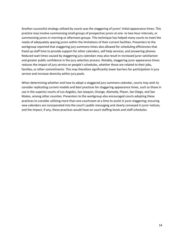Another successful strategy utilized by courts was the staggering of jurors' initial appearance times. This practice may involve summonsing small groups of prospective jurors at one- to two-hour intervals, or summonsing jurors in morning or afternoon groups. This technique has helped many courts to meet the needs of adequately spacing jurors within the limitations of their current facilities. Presenters to the workgroup reported that staggering jury summons times also allowed for scheduling efficiencies that freed up staff time to provide support for other calendars, self-help services, and answering phones. Reduced wait times caused by staggering jury calendars may also result in increased juror satisfaction and greater public confidence in the jury selection process. Notably, staggering juror appearance times reduces the impact of jury service on people's schedules, whether those are related to their jobs, families, or other commitments. This may therefore significantly lower barriers for participation in jury service and increase diversity within jury pools.

When determining whether and how to adopt a staggered jury summons calendar, courts may wish to consider replicating current models and best practices for staggering appearance times, such as those in use in the superior courts of Los Angeles, San Joaquin, Orange, Alameda, Placer, San Diego, and San Mateo, among other counties. Presenters to the workgroup also encouraged courts adopting these practices to consider utilizing more than one courtroom at a time to assist in juror staggering; ensuring new calendars are incorporated into the court's public messaging and clearly conveyed in juror notices; and the impact, if any, these practices would have on court staffing levels and staff schedules.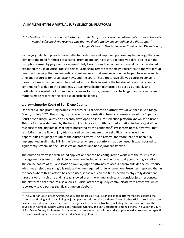# **IV. IMPLEMENTING A VIRTUAL JURY SELECTION PLATFORM**

*"The feedback from jurors on the [virtual juror selection] process was overwhelmingly positive. The only negative feedback we received was that we didn't implement something like this sooner."* – Judge Michael S. Groch, Superior Court of San Diego County

Virtual jury selection provides new paths to modernize and improve upon existing technology that can eliminate the need for most prospective jurors to appear in person, expedite voir dire, and lessen the disruption caused by jury service on jurors' daily lives. During the pandemic, several courts developed or expanded the use of virtual tools to select jurors using remote technology. Presenters to the workgroup described the ways that implementing or enhancing virtual juror selection has helped to save valuable time and resources for jurors, attorneys, and the court. These tools have allowed courts to convene juries in a timely manner, which has helped substantially in easing the backlog of cases many courts continue to face due to the pandemic. Virtual jury selection platforms also act as a uniquely and particularly powerful tool in handling challenges for cause, peremptory challenges, and any subsequent motions made regarding the exercise of such challenges.

# **eJuror—Superior Court of San Diego County**

One creative and promising example of a virtual juror selection platform was developed in San Diego County. In July 2021, the workgroup received a demonstration from a representative of the Superior Court of San Diego County on a recently developed online juror selection platform known as "eJuror." This platform was designed by the bench, in collaboration with court information technology staff, in response to the jury intake challenges presented by the pandemic.<sup>[21](#page-15-0)</sup> Presenters noted, however, that restrictions on the flow of jury trials caused by the pandemic have significantly reduced the opportunities for judges to utilize the eJuror platform. The platform, therefore, has not been fully implemented in all trials. Still, in the few cases where the platform has been used, it was reported to significantly streamline the jury selection process and boost juror satisfaction.

The eJuror platform is a web-based application that can be configured to work with the court's case management system to assist in juror selection, including a module for virtually conducting voir dire. The online nature of this application allows a judge or attorney to access it from outside the courthouse, which may help to meaningfully reduce the time required for juror selection. Presenters reported that in the cases where this platform has been used, it has reduced the time needed to physically document juror answers in voir dire and instead allowed users more time analyze and consider juror responses. The platform's chat feature also allows a judicial officer to quickly communicate with attorneys, which reportedly saved parties significant time on sidebars.

<span id="page-15-0"></span><sup>&</sup>lt;sup>21</sup> The Superior Court of Los Angeles County also utilizes a virtual juror selection platform that has assisted the court in continuing and streamlining its jury operations during the pandemic. Several other trial courts in the state have incorporated virtual elements into their jury selection infrastructure, including the superior courts in the counties of Alameda, Contra Costa, San Francisco, Orange, and San Bernardino, among others. The Superior Court of San Diego County is discussed in this report because members of the workgroup received a presentation specific to a platform designed and implemented in San Diego County.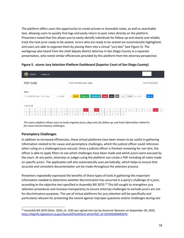The platform offers users the opportunity to create private or shareable notes, as well as searchable text, allowing users to quickly find tags and easily return to past notes directly on the platform. Presenters noted that this allows one to easily identify individuals for follow-up and clearly and reliably track the next juror ready to be seated. Jurors who are ready to be seated are automatically highlighted, and users are able to organize them by placing them into a virtual "jury box" (see Figure 5). The workgroup also heard from the chief deputy district attorney in San Diego County in a separate presentation, who noted similar efficiencies provided by this platform from the attorney perspective.

**Figure 5. eJuror Jury Selection Platform Dashboard (Superior Court of San Diego County)**

|                                                                                                                                                                                            | eJuror               |                               | Dashboard |         |         |    |         |         |                               |          |          |          |          |          |          |          |          |          |    |    |    |    |                  |    |    |
|--------------------------------------------------------------------------------------------------------------------------------------------------------------------------------------------|----------------------|-------------------------------|-----------|---------|---------|----|---------|---------|-------------------------------|----------|----------|----------|----------|----------|----------|----------|----------|----------|----|----|----|----|------------------|----|----|
| <b>TEST CASE</b>                                                                                                                                                                           |                      |                               |           |         |         |    |         |         | Judge Central Division, Judge |          |          |          |          |          |          |          |          |          |    |    |    |    | Case Id SCD12345 |    |    |
| <b>Filters</b><br>$\vee$ $\pm$ PDF<br>□ Include Excused<br>Cause Next All<br>Confidential<br>Follow Up<br>Clear<br>All Jurors<br>Export<br>search term<br>All Fields<br>$\vee$ Search<br>ш |                      |                               |           |         |         |    |         |         |                               |          |          |          |          |          |          |          |          |          |    |    |    |    |                  |    |    |
| <b>Jury Panel</b><br>$\mathbf{z}$<br>×,                                                                                                                                                    |                      |                               |           |         |         |    |         |         |                               |          |          |          |          |          |          |          |          |          |    |    |    |    |                  |    |    |
| 27                                                                                                                                                                                         | $\overline{2}$<br>28 | $\overline{\mathbf{3}}$<br>29 | 30        | 5<br>31 | 6<br>32 | 33 | 8<br>34 | 9<br>35 | 10<br>36                      | 11<br>37 | 12<br>38 | 13<br>39 | 14<br>40 | 15<br>41 | 16<br>42 | 17<br>43 | 18<br>44 | 19<br>45 | 20 | 21 | 22 | 23 | 24               | 25 | 26 |

*The eJuror platform allows users to easily organize jurors, flag notes for follow-up, and track information related to for-cause and peremptory challenges.*

# **Peremptory Challenges**

In addition to increased efficiencies, these virtual platforms have been shown to be useful in gathering information related to for-cause and peremptory challenges, which the judicial officer could reference when ruling on a challenged juror excusal. Once a judicial officer is finished reviewing for voir dire, the officer is able to apply filters to see which challenges have been made and which jurors were excused by the court. At any point, attorneys or judges using the platform can create a PDF including all notes made on specific jurors. The application will also automatically save periodically, which helps to ensure that accurate and consistent documentation can be made throughout the selection process.

Presenters repeatedly expressed the benefits of these types of tools in gathering this important information needed to determine whether discrimination has occurred in a party's challenge of a juror, according to the objective test specified in Assembly Bill 3070.<sup>[22](#page-16-0)</sup> This bill sought to strengthen jury selection procedures and increase transparency to ensure attorney challenges to exclude jurors are not for discriminatory purposes. The use of virtual platforms for jury selection will be specifically and particularly relevant for protecting the record against improper questions and/or challenges during voir

<span id="page-16-0"></span><sup>&</sup>lt;sup>22</sup> Assembly Bill 3070 (Stats. 2020, ch. 318) was signed into law by Governor Newsom on September 30, 2020, [https://leginfo.legislature.ca.gov/faces/billTextClient.xhtml?bill\\_id=201920200AB3070.](https://leginfo.legislature.ca.gov/faces/billTextClient.xhtml?bill_id=201920200AB3070)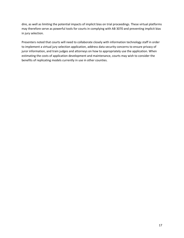dire, as well as limiting the potential impacts of implicit bias on trial proceedings. These virtual platforms may therefore serve as powerful tools for courts in complying with AB 3070 and preventing implicit bias in jury selection.

Presenters noted that courts will need to collaborate closely with information technology staff in order to implement a virtual jury selection application, address data security concerns to ensure privacy of juror information, and train judges and attorneys on how to appropriately use the application. When estimating the costs of application development and maintenance, courts may wish to consider the benefits of replicating models currently in use in other counties.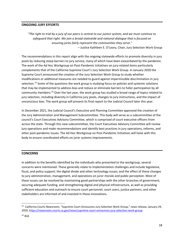#### **ONGOING JURY EFFORTS**

*"The right to trial by a jury of our peers is central to our justice system, and we must continue to safeguard that right. We join a broad statewide and national dialogue that is focused on ensuring juries fairly represent the communities they serve."*

– Justice Kathleen E. O'Leary, Chair, Jury Selection Work Group

The recommendations in this report align with the ongoing statewide efforts to promote diversity in jury pools by reducing steep barriers to jury service, many of which have been exacerbated by the pandemic. The work of the Ad Hoc Workgroup on Post-Pandemic Initiatives on jury-related items particularly complements that of the California Supreme Court's Jury Selection Work Group. In January 2020 the Supreme Court announced the creation of the Jury Selection Work Group to study whether modifications or additional measures are needed to guard against impermissible discrimination in jury selection.<sup>[23](#page-18-0)</sup> Some of the questions the work group is studying focus on policies and systemic solutions that may be implemented to address bias and reduce or eliminate barriers to fuller participation by all community members.<sup>[24](#page-18-1)</sup> Over the last year, the work group has studied a broad range of topics related to jury selection, including diversity in California jury pools, changes to jury instructions, and the impact of unconscious bias. The work group will present its final report to the Judicial Council later this year.

In December 2021, the Judicial Council's Executive and Planning Committee approved the creation of the Jury Administration and Management Subcommittee. This body will serve as a subcommittee of the council's Court Executives Advisory Committee, which is comprised of court executive officers from across the state. Through this new subcommittee, the Court Executives Advisory Committee will review jury operations and make recommendations and identify best practices in jury operations, reforms, and other post-pandemic issues. The Ad Hoc Workgroup on Post-Pandemic Initiatives will liaise with this body to ensure coordinated efforts on juror systems improvements.

#### **CONCERNS**

In addition to the benefits identified by the individuals who presented to the workgroup, several concerns were mentioned. These generally relate to implementation challenges and include legislative, fiscal, and policy support; the digital divide and other technology issues; and the effect of these changes to jury administration, management, and operations on juror morale and public perception. Most of these issues can be resolved by maintaining good partnerships with the other branches of government, securing adequate funding, and strengthening digital and physical infrastructure, as well as providing sufficient education and outreach to ensure court personnel, court users, justice partners, and other stakeholders are informed of and invested in these innovations.

<span id="page-18-1"></span><span id="page-18-0"></span><sup>&</sup>lt;sup>23</sup> California Courts Newsroom, "Supreme Court Announces Jury Selection Work Group," news release, January 29, 2020, [https://newsroom.courts.ca.gov/news/supreme-court-announces-jury-selection-work-group.](https://newsroom.courts.ca.gov/news/supreme-court-announces-jury-selection-work-group)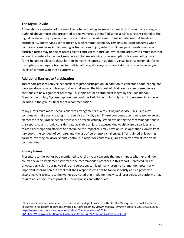# **The Digital Divide**

Although the expansion of the use of remote technology increased access to justice in many areas, as outlined above, those who presented to the workgroup identified some specific concerns related to the digital divide in the jury selection process that must be addressed. [25](#page-19-0) Inadequate internet bandwidth, affordability, and varying user proficiency with remote technology remain significant concerns when courts are considering implementing virtual options in jury selection. Online juror questionnaires and hardship forms may not be as accessible to court users in rural or low-income areas with limited internet access. Presenters to the workgroup noted that maintaining in-person options for completing juror forms helped to alleviate these barriers in many instances. In addition, virtual juror selection platforms, if adopted, may require training for judicial officers, attorneys, and court staff, who may have varying levels of comfort with these platforms.

# **Additional Barriers to Participation**

This report presents only select barriers to juror participation. In addition to concerns about inadequate juror per diem rates and transportation challenges, the high cost of childcare for summonsed jurors continues to be a significant hardship. This topic has been studied at length by the Blue Ribbon Commission on Jury System Improvement and the Task Force on Juror System Improvements and was included in the groups' final set of recommendations.

Many jurors must make special childcare arrangements as a result of jury service. This issue may continue to make participating in jury service difficult, even if juror compensation is increased or select elements of the juror selection process are offered virtually. When evaluating the recommendations in this report, courts should consider data available on jurors excused due to childcare disparities and related hardships and attempt to determine the impact this may have on court operations, diversity of jury pools, the conduct of voir dire, and the use of peremptory challenges. Efforts aimed at lowering barriers involving childcare should continue in order for California's juries to better reflect its diverse communities.

# **Privacy Issues**

Presenters to the workgroup mentioned several privacy concerns that may impact whether and how courts decide to implement several of the recommended practices in this report. Perceived lack of privacy, particularly during voir dire and selection, can lead many jurors to not mention potentially important information or to feel that their responses will not be taken seriously and be protected accordingly. Presenters to the workgroup noted that implementing virtual juror selection platforms may require added security to protect juror responses and other data.

<span id="page-19-0"></span><sup>&</sup>lt;sup>25</sup> For more information on concerns related to the digital divide, see the Ad Hoc Workgroup on Post-Pandemic Initiatives' first interim report on remote court proceedings, *Interim Report: Remote Access to Courts* (Aug. 2021), [https://newsroom.courts.ca.gov/sites/default/files/newsroom/2021-](https://newsroom.courts.ca.gov/sites/default/files/newsroom/2021-08/P3%20Workgroup%20Remote%20Access%20Interim%20Report%2008162021.pdf) [08/P3%20Workgroup%20Remote%20Access%20Interim%20Report%2008162021.pdf.](https://newsroom.courts.ca.gov/sites/default/files/newsroom/2021-08/P3%20Workgroup%20Remote%20Access%20Interim%20Report%2008162021.pdf)